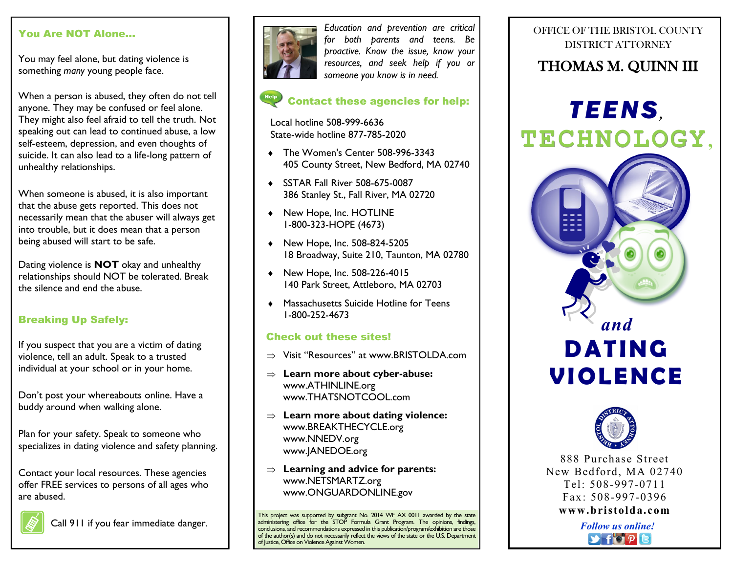## You Are NOT Alone…

You may feel alone, but dating violence is something *many* young people face.

When a person is abused, they often do not tell anyone. They may be confused or feel alone. They might also feel afraid to tell the truth. Not speaking out can lead to continued abuse, a low self-esteem, depression, and even thoughts of suicide. It can also lead to a life-long pattern of unhealthy relationships.

When someone is abused, it is also important that the abuse gets reported. This does not necessarily mean that the abuser will always get into trouble, but it does mean that a person being abused will start to be safe.

Dating violence is **NOT** okay and unhealthy relationships should NOT be tolerated. Break the silence and end the abuse.

## Breaking Up Safely:

If you suspect that you are a victim of dating violence, tell an adult. Speak to a trusted individual at your school or in your home.

Don't post your whereabouts online. Have a buddy around when walking alone.

Plan for your safety. Speak to someone who specializes in dating violence and safety planning.

Contact your local resources. These agencies offer FREE services to persons of all ages who are abused.



Call 911 if you fear immediate danger.



*Education and prevention are critical for both parents and teens. Be proactive. Know the issue, know your resources, and seek help if you or someone you know is in need.*

## Contact these agencies for help:

Local hotline 508-999-6636 State-wide hotline 877-785-2020

- ◆ The Women's Center 508-996-3343 405 County Street, New Bedford, MA 02740
- ◆ SSTAR Fall River 508-675-0087 386 Stanley St., Fall River, MA 02720
- ◆ New Hope, Inc. HOTLINE 1-800-323-HOPE (4673)
- ◆ New Hope, Inc. 508-824-5205 18 Broadway, Suite 210, Taunton, MA 02780
- ◆ New Hope, Inc. 508-226-4015 140 Park Street, Attleboro, MA 02703
- Massachusetts Suicide Hotline for Teens 1-800-252-4673

## Check out these sites!

- $\Rightarrow$  Visit "Resources" at www.BRISTOI DA.com
- **Learn more about cyber-abuse:** www.ATHINLINE.org www.THATSNOTCOOL.com
- **Learn more about dating violence:** www.BREAKTHECYCLE.org www.NNEDV.org www.JANEDOE.org
- **Learning and advice for parents:** www.NETSMARTZ.org www.ONGUARDONLINE.gov

This project was supported by subgrant No. 2014 WF AX 0011 awarded by the state administering office for the STOP Formula Grant Program. The opinions, findings, conclusions, and recommendations expressed in this publication/program/exhibition are those of the author(s) and do not necessarily reflect the views of the state or the U.S. Department of Justice, Office on Violence Against Women.

## OFFICE OF THE BRISTOL COUNTY DISTRICT ATTORNEY

# THOMAS M. QUINN III







888 Purchase Street New Bedford, MA 02740 Tel: 508-997-0711 Fax: 508-997-0396 **www.b ri s told a.c om**

> *Follow us online!*  $\blacktriangleright$  for  $\rho$  [e]